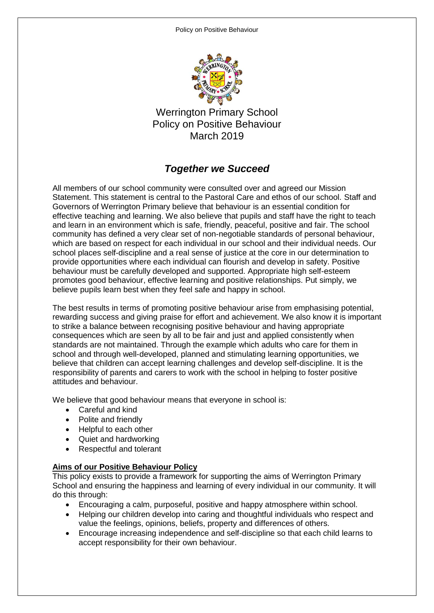

Werrington Primary School Policy on Positive Behaviour March 2019

## *Together we Succeed*

All members of our school community were consulted over and agreed our Mission Statement. This statement is central to the Pastoral Care and ethos of our school. Staff and Governors of Werrington Primary believe that behaviour is an essential condition for effective teaching and learning. We also believe that pupils and staff have the right to teach and learn in an environment which is safe, friendly, peaceful, positive and fair. The school community has defined a very clear set of non-negotiable standards of personal behaviour, which are based on respect for each individual in our school and their individual needs. Our school places self-discipline and a real sense of justice at the core in our determination to provide opportunities where each individual can flourish and develop in safety. Positive behaviour must be carefully developed and supported. Appropriate high self-esteem promotes good behaviour, effective learning and positive relationships. Put simply, we believe pupils learn best when they feel safe and happy in school.

The best results in terms of promoting positive behaviour arise from emphasising potential, rewarding success and giving praise for effort and achievement. We also know it is important to strike a balance between recognising positive behaviour and having appropriate consequences which are seen by all to be fair and just and applied consistently when standards are not maintained. Through the example which adults who care for them in school and through well-developed, planned and stimulating learning opportunities, we believe that children can accept learning challenges and develop self-discipline. It is the responsibility of parents and carers to work with the school in helping to foster positive attitudes and behaviour.

We believe that good behaviour means that everyone in school is:

- Careful and kind
- Polite and friendly
- Helpful to each other
- Quiet and hardworking
- Respectful and tolerant

### **Aims of our Positive Behaviour Policy**

This policy exists to provide a framework for supporting the aims of Werrington Primary School and ensuring the happiness and learning of every individual in our community. It will do this through:

- Encouraging a calm, purposeful, positive and happy atmosphere within school.
- Helping our children develop into caring and thoughtful individuals who respect and value the feelings, opinions, beliefs, property and differences of others.
- Encourage increasing independence and self-discipline so that each child learns to accept responsibility for their own behaviour.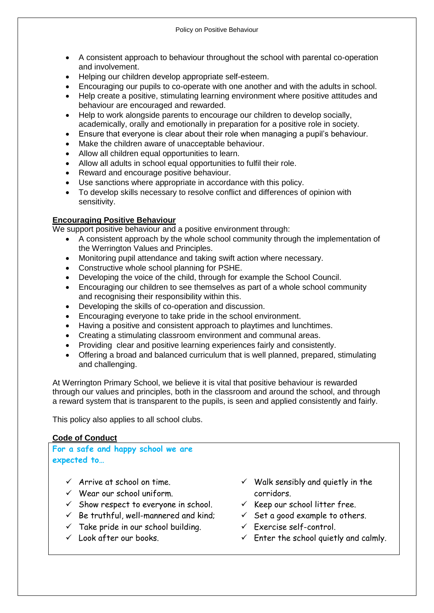- A consistent approach to behaviour throughout the school with parental co-operation and involvement.
- Helping our children develop appropriate self-esteem.
- Encouraging our pupils to co-operate with one another and with the adults in school.
- Help create a positive, stimulating learning environment where positive attitudes and behaviour are encouraged and rewarded.
- Help to work alongside parents to encourage our children to develop socially, academically, orally and emotionally in preparation for a positive role in society.
- Ensure that everyone is clear about their role when managing a pupil's behaviour.
- Make the children aware of unacceptable behaviour.
- Allow all children equal opportunities to learn.
- Allow all adults in school equal opportunities to fulfil their role.
- Reward and encourage positive behaviour.
- Use sanctions where appropriate in accordance with this policy.
- To develop skills necessary to resolve conflict and differences of opinion with sensitivity.

## **Encouraging Positive Behaviour**

We support positive behaviour and a positive environment through:

- A consistent approach by the whole school community through the implementation of the Werrington Values and Principles.
- Monitoring pupil attendance and taking swift action where necessary.
- Constructive whole school planning for PSHE.
- Developing the voice of the child, through for example the School Council.
- Encouraging our children to see themselves as part of a whole school community and recognising their responsibility within this.
- Developing the skills of co-operation and discussion.
- Encouraging everyone to take pride in the school environment.
- Having a positive and consistent approach to playtimes and lunchtimes.
- Creating a stimulating classroom environment and communal areas.
- Providing clear and positive learning experiences fairly and consistently.
- Offering a broad and balanced curriculum that is well planned, prepared, stimulating and challenging.

At Werrington Primary School, we believe it is vital that positive behaviour is rewarded through our values and principles, both in the classroom and around the school, and through a reward system that is transparent to the pupils, is seen and applied consistently and fairly.

This policy also applies to all school clubs.

## **Code of Conduct**

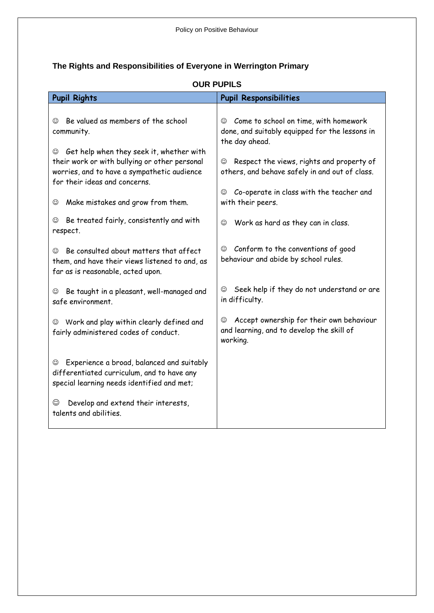## **The Rights and Responsibilities of Everyone in Werrington Primary**

| <b>Pupil Rights</b>                                                                                                                                                            | <b>Pupil Responsibilities</b>                                                                               |
|--------------------------------------------------------------------------------------------------------------------------------------------------------------------------------|-------------------------------------------------------------------------------------------------------------|
| Be valued as members of the school<br>☺<br>community.                                                                                                                          | © Come to school on time, with homework<br>done, and suitably equipped for the lessons in<br>the day ahead. |
| Get help when they seek it, whether with<br>☺<br>their work or with bullying or other personal<br>worries, and to have a sympathetic audience<br>for their ideas and concerns. | Respect the views, rights and property of<br>☺<br>others, and behave safely in and out of class.            |
| Make mistakes and grow from them.<br>☺                                                                                                                                         | Co-operate in class with the teacher and<br>☺<br>with their peers.                                          |
| Be treated fairly, consistently and with<br>☺<br>respect.                                                                                                                      | Work as hard as they can in class.<br>☺                                                                     |
| Be consulted about matters that affect<br>☺<br>them, and have their views listened to and, as<br>far as is reasonable, acted upon.                                             | Conform to the conventions of good<br>$\odot$<br>behaviour and abide by school rules.                       |
| Be taught in a pleasant, well-managed and<br>☺<br>safe environment.                                                                                                            | Seek help if they do not understand or are<br>☺<br>in difficulty.                                           |
| Work and play within clearly defined and<br>☺<br>fairly administered codes of conduct.                                                                                         | Accept ownership for their own behaviour<br>☺<br>and learning, and to develop the skill of<br>working.      |
| Experience a broad, balanced and suitably<br>☺<br>differentiated curriculum, and to have any<br>special learning needs identified and met;                                     |                                                                                                             |
| Develop and extend their interests,<br>☺<br>talents and abilities.                                                                                                             |                                                                                                             |

## **OUR PUPILS**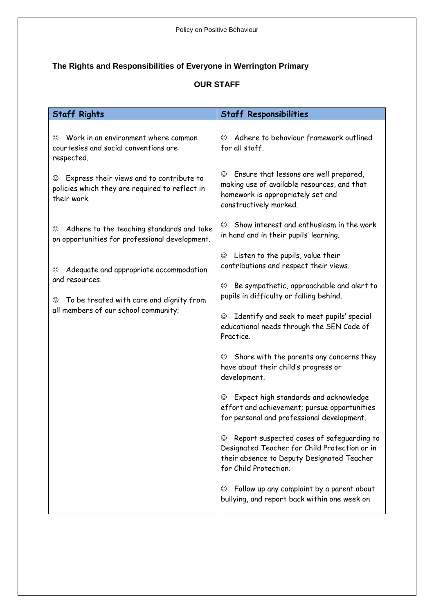## **The Rights and Responsibilities of Everyone in Werrington Primary**

## **OUR STAFF**

| <b>Staff Rights</b>                                                                                                                                                                                                                                        | <b>Staff Responsibilities</b>                                                                                                                                                                         |  |
|------------------------------------------------------------------------------------------------------------------------------------------------------------------------------------------------------------------------------------------------------------|-------------------------------------------------------------------------------------------------------------------------------------------------------------------------------------------------------|--|
| Work in an environment where common<br>$\odot$<br>courtesies and social conventions are<br>respected.                                                                                                                                                      | Adhere to behaviour framework outlined<br>☺<br>for all staff.                                                                                                                                         |  |
| Express their views and to contribute to<br>☺<br>policies which they are required to reflect in<br>their work.                                                                                                                                             | Ensure that lessons are well prepared,<br>☺<br>making use of available resources, and that<br>homework is appropriately set and<br>constructively marked.                                             |  |
| Adhere to the teaching standards and take<br>☺<br>on opportunities for professional development.<br>Adequate and appropriate accommodation<br>☺<br>and resources.<br>To be treated with care and dignity from<br>☺<br>all members of our school community; | Show interest and enthusiasm in the work<br>$\odot$<br>in hand and in their pupils' learning.<br>Listen to the pupils, value their<br>☺<br>contributions and respect their views.                     |  |
|                                                                                                                                                                                                                                                            | Be sympathetic, approachable and alert to<br>☺<br>pupils in difficulty or falling behind.<br>Identify and seek to meet pupils' special<br>☺<br>educational needs through the SEN Code of<br>Practice. |  |
|                                                                                                                                                                                                                                                            | Share with the parents any concerns they<br>☺<br>have about their child's progress or<br>development.                                                                                                 |  |
|                                                                                                                                                                                                                                                            | Expect high standards and acknowledge<br>☺<br>effort and achievement; pursue opportunities<br>for personal and professional development.                                                              |  |
|                                                                                                                                                                                                                                                            | Report suspected cases of safeguarding to<br>☺<br>Designated Teacher for Child Protection or in<br>their absence to Deputy Designated Teacher<br>for Child Protection.                                |  |
|                                                                                                                                                                                                                                                            | Follow up any complaint by a parent about<br>☺<br>bullying, and report back within one week on                                                                                                        |  |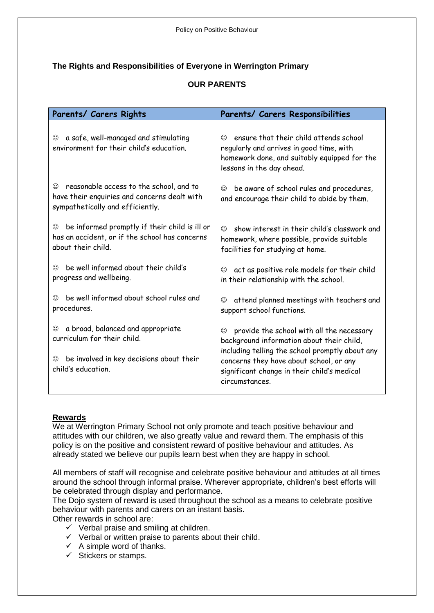## **The Rights and Responsibilities of Everyone in Werrington Primary**

## **OUR PARENTS**

| Parents/ Carers Rights                                                                                                           | Parents/ Carers Responsibilities                                                                                                                                           |  |
|----------------------------------------------------------------------------------------------------------------------------------|----------------------------------------------------------------------------------------------------------------------------------------------------------------------------|--|
| a safe, well-managed and stimulating<br>☺<br>environment for their child's education.                                            | ensure that their child attends school<br>$\odot$<br>regularly and arrives in good time, with<br>homework done, and suitably equipped for the<br>lessons in the day ahead. |  |
| reasonable access to the school, and to<br>☺<br>have their enquiries and concerns dealt with<br>sympathetically and efficiently. | be aware of school rules and procedures,<br>☺<br>and encourage their child to abide by them.                                                                               |  |
| be informed promptly if their child is ill or                                                                                    | show interest in their child's classwork and                                                                                                                               |  |
| ☺                                                                                                                                | ⊙                                                                                                                                                                          |  |
| has an accident, or if the school has concerns                                                                                   | homework, where possible, provide suitable                                                                                                                                 |  |
| about their child.                                                                                                               | facilities for studying at home.                                                                                                                                           |  |
| be well informed about their child's                                                                                             | act as positive role models for their child                                                                                                                                |  |
| ☺                                                                                                                                | ☺                                                                                                                                                                          |  |
| progress and wellbeing.                                                                                                          | in their relationship with the school.                                                                                                                                     |  |
| be well informed about school rules and                                                                                          | attend planned meetings with teachers and                                                                                                                                  |  |
| ☺                                                                                                                                | ☺                                                                                                                                                                          |  |
| procedures.                                                                                                                      | support school functions.                                                                                                                                                  |  |
| a broad, balanced and appropriate                                                                                                | provide the school with all the necessary                                                                                                                                  |  |
| ☺                                                                                                                                | ☺                                                                                                                                                                          |  |
| curriculum for their child.                                                                                                      | background information about their child,                                                                                                                                  |  |
| be involved in key decisions about their<br>☺<br>child's education.                                                              | including telling the school promptly about any<br>concerns they have about school, or any<br>significant change in their child's medical<br>circumstances.                |  |

### **Rewards**

We at Werrington Primary School not only promote and teach positive behaviour and attitudes with our children, we also greatly value and reward them. The emphasis of this policy is on the positive and consistent reward of positive behaviour and attitudes. As already stated we believe our pupils learn best when they are happy in school.

All members of staff will recognise and celebrate positive behaviour and attitudes at all times around the school through informal praise. Wherever appropriate, children's best efforts will be celebrated through display and performance.

The Dojo system of reward is used throughout the school as a means to celebrate positive behaviour with parents and carers on an instant basis.

Other rewards in school are:

- $\checkmark$  Verbal praise and smiling at children.
- $\checkmark$  Verbal or written praise to parents about their child.
- $\checkmark$  A simple word of thanks.
- $\checkmark$  Stickers or stamps.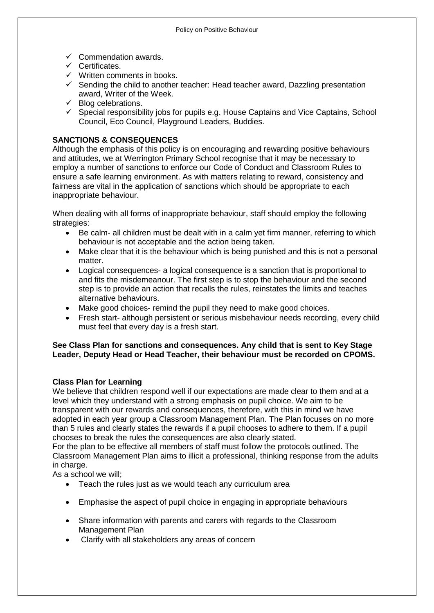- $\checkmark$  Commendation awards.
- $\checkmark$  Certificates.
- $\checkmark$  Written comments in books.
- $\checkmark$  Sending the child to another teacher: Head teacher award, Dazzling presentation award, Writer of the Week.
- $\checkmark$  Blog celebrations.
- $\checkmark$  Special responsibility jobs for pupils e.g. House Captains and Vice Captains, School Council, Eco Council, Playground Leaders, Buddies.

## **SANCTIONS & CONSEQUENCES**

Although the emphasis of this policy is on encouraging and rewarding positive behaviours and attitudes, we at Werrington Primary School recognise that it may be necessary to employ a number of sanctions to enforce our Code of Conduct and Classroom Rules to ensure a safe learning environment. As with matters relating to reward, consistency and fairness are vital in the application of sanctions which should be appropriate to each inappropriate behaviour.

When dealing with all forms of inappropriate behaviour, staff should employ the following strategies:

- Be calm- all children must be dealt with in a calm yet firm manner, referring to which behaviour is not acceptable and the action being taken.
- Make clear that it is the behaviour which is being punished and this is not a personal matter.
- Logical consequences- a logical consequence is a sanction that is proportional to and fits the misdemeanour. The first step is to stop the behaviour and the second step is to provide an action that recalls the rules, reinstates the limits and teaches alternative behaviours.
- Make good choices- remind the pupil they need to make good choices.
- Fresh start- although persistent or serious misbehaviour needs recording, every child must feel that every day is a fresh start.

#### **See Class Plan for sanctions and consequences. Any child that is sent to Key Stage Leader, Deputy Head or Head Teacher, their behaviour must be recorded on CPOMS.**

### **Class Plan for Learning**

We believe that children respond well if our expectations are made clear to them and at a level which they understand with a strong emphasis on pupil choice. We aim to be transparent with our rewards and consequences, therefore, with this in mind we have adopted in each year group a Classroom Management Plan. The Plan focuses on no more than 5 rules and clearly states the rewards if a pupil chooses to adhere to them. If a pupil chooses to break the rules the consequences are also clearly stated.

For the plan to be effective all members of staff must follow the protocols outlined. The Classroom Management Plan aims to illicit a professional, thinking response from the adults in charge.

As a school we will;

- Teach the rules just as we would teach any curriculum area
- Emphasise the aspect of pupil choice in engaging in appropriate behaviours
- Share information with parents and carers with regards to the Classroom Management Plan
- Clarify with all stakeholders any areas of concern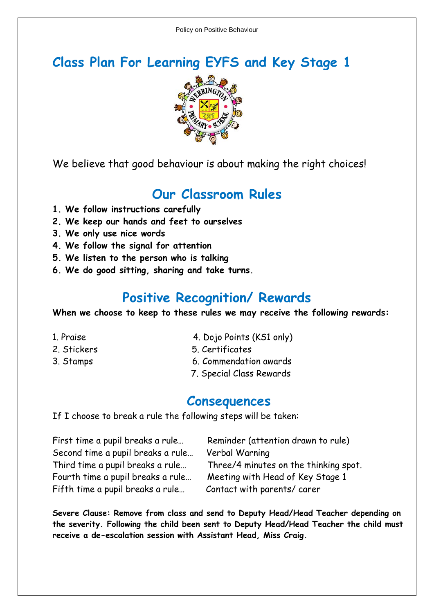# **Class Plan For Learning EYFS and Key Stage 1**



We believe that good behaviour is about making the right choices!

# **Our Classroom Rules**

- **1. We follow instructions carefully**
- **2. We keep our hands and feet to ourselves**
- **3. We only use nice words**
- **4. We follow the signal for attention**
- **5. We listen to the person who is talking**
- **6. We do good sitting, sharing and take turns.**

# **Positive Recognition/ Rewards**

**When we choose to keep to these rules we may receive the following rewards:**

- 
- 
- 
- 1. Praise 4. Dojo Points (KS1 only)
- 2. Stickers 5. Certificates
- 3. Stamps 6. Commendation awards
	- 7. Special Class Rewards

## **Consequences**

If I choose to break a rule the following steps will be taken:

| First time a pupil breaks a rule  | Reminder (attention drawn to rule)    |
|-----------------------------------|---------------------------------------|
| Second time a pupil breaks a rule | Verbal Warning                        |
| Third time a pupil breaks a rule  | Three/4 minutes on the thinking spot. |
| Fourth time a pupil breaks a rule | Meeting with Head of Key Stage 1      |
| Fifth time a pupil breaks a rule  | Contact with parents/carer            |

**Severe Clause: Remove from class and send to Deputy Head/Head Teacher depending on the severity. Following the child been sent to Deputy Head/Head Teacher the child must receive a de-escalation session with Assistant Head, Miss Craig.**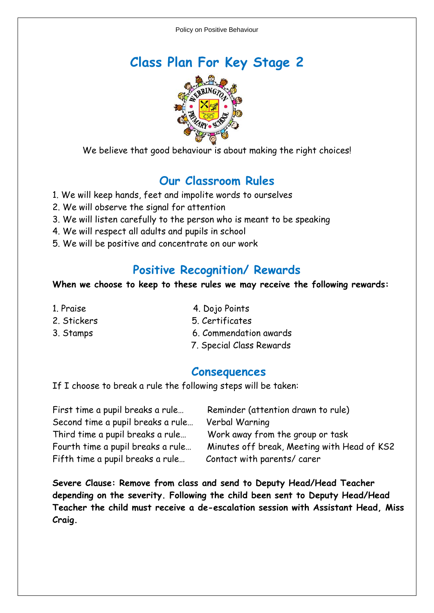



We believe that good behaviour is about making the right choices!

## **Our Classroom Rules**

- 1. We will keep hands, feet and impolite words to ourselves
- 2. We will observe the signal for attention
- 3. We will listen carefully to the person who is meant to be speaking
- 4. We will respect all adults and pupils in school
- 5. We will be positive and concentrate on our work

## **Positive Recognition/ Rewards**

## **When we choose to keep to these rules we may receive the following rewards:**

- 
- 
- 
- 1. Praise **4. Dojo Points**
- 2. Stickers 5. Certificates
- 3. Stamps 6. Commendation awards
	- 7. Special Class Rewards

## **Consequences**

If I choose to break a rule the following steps will be taken:

| First time a pupil breaks a rule  | Reminder (attention drawn to rule)          |
|-----------------------------------|---------------------------------------------|
| Second time a pupil breaks a rule | Verbal Warning                              |
| Third time a pupil breaks a rule  | Work away from the group or task            |
| Fourth time a pupil breaks a rule | Minutes off break, Meeting with Head of KS2 |
| Fifth time a pupil breaks a rule  | Contact with parents/carer                  |

**Severe Clause: Remove from class and send to Deputy Head/Head Teacher depending on the severity. Following the child been sent to Deputy Head/Head Teacher the child must receive a de-escalation session with Assistant Head, Miss Craig.**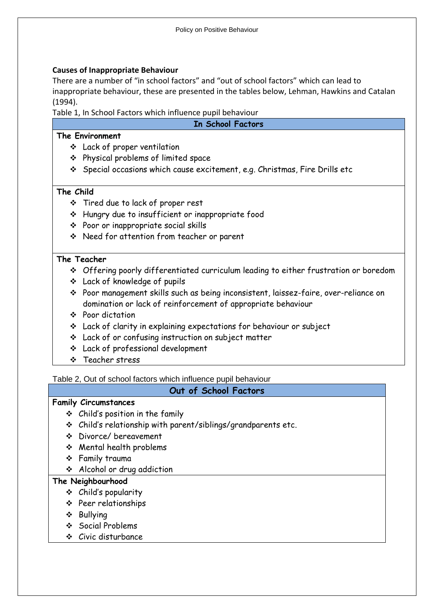## **Causes of Inappropriate Behaviour**

There are a number of "in school factors" and "out of school factors" which can lead to inappropriate behaviour, these are presented in the tables below, Lehman, Hawkins and Catalan (1994).

Table 1, In School Factors which influence pupil behaviour

#### **In School Factors**

### **The Environment**

- Lack of proper ventilation
- Physical problems of limited space
- Special occasions which cause excitement, e.g. Christmas, Fire Drills etc

## **The Child**

- Tired due to lack of proper rest
- Hungry due to insufficient or inappropriate food
- Poor or inappropriate social skills
- Need for attention from teacher or parent

## **The Teacher**

- Offering poorly differentiated curriculum leading to either frustration or boredom
- Lack of knowledge of pupils
- Poor management skills such as being inconsistent, laissez-faire, over-reliance on domination or lack of reinforcement of appropriate behaviour
- ❖ Poor dictation
- Lack of clarity in explaining expectations for behaviour or subject
- Lack of or confusing instruction on subject matter
- Lack of professional development
- ❖ Teacher stress

Table 2, Out of school factors which influence pupil behaviour

## **Out of School Factors**

## **Family Circumstances**

- $\div$  Child's position in the family
- Child's relationship with parent/siblings/grandparents etc.
- Divorce/ bereavement
- Mental health problems
- Family trauma
- Alcohol or drug addiction

## **The Neighbourhood**

- Child's popularity
- Peer relationships
- ❖ Bullvina
- Social Problems
- Civic disturbance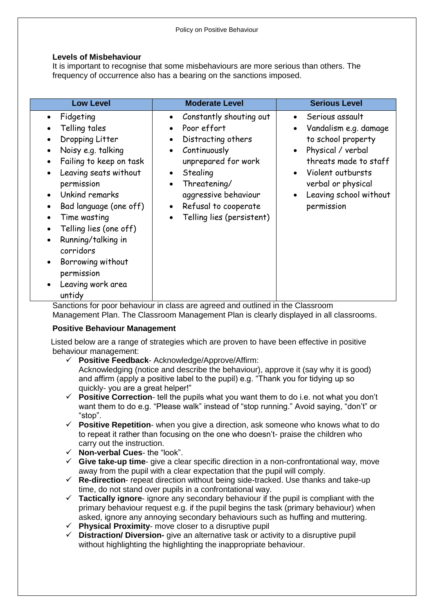#### **Levels of Misbehaviour**

It is important to recognise that some misbehaviours are more serious than others. The frequency of occurrence also has a bearing on the sanctions imposed.

| <b>Low Level</b>                                                                                                                                                                                                                                                                                                                                                                                                                                                                     | <b>Moderate Level</b>                                                                                                                                                                                                                                                                                                | <b>Serious Level</b>                                                                                                                                                                                                                                |
|--------------------------------------------------------------------------------------------------------------------------------------------------------------------------------------------------------------------------------------------------------------------------------------------------------------------------------------------------------------------------------------------------------------------------------------------------------------------------------------|----------------------------------------------------------------------------------------------------------------------------------------------------------------------------------------------------------------------------------------------------------------------------------------------------------------------|-----------------------------------------------------------------------------------------------------------------------------------------------------------------------------------------------------------------------------------------------------|
| Fidgeting<br>$\bullet$<br>Telling tales<br>$\bullet$<br>Dropping Litter<br>٠<br>Noisy e.g. talking<br>$\bullet$<br>Failing to keep on task<br>Leaving seats without<br>$\bullet$<br>permission<br>Unkind remarks<br>$\bullet$<br>Bad language (one off)<br>$\bullet$<br>Time wasting<br>$\bullet$<br>Telling lies (one off)<br>$\bullet$<br>Running/talking in<br>$\bullet$<br>corridors<br>Borrowing without<br>$\bullet$<br>permission<br>Leaving work area<br>$\bullet$<br>untidy | Constantly shouting out<br>$\bullet$<br>Poor effort<br>$\bullet$<br>Distracting others<br>$\bullet$<br>Continuously<br>$\bullet$<br>unprepared for work<br>Stealing<br>$\bullet$<br>Threatening/<br>$\bullet$<br>aggressive behaviour<br>Refusal to cooperate<br>$\bullet$<br>Telling lies (persistent)<br>$\bullet$ | Serious assault<br>Vandalism e.g. damage<br>$\bullet$<br>to school property<br>Physical / verbal<br>$\bullet$<br>threats made to staff<br>Violent outbursts<br>$\bullet$<br>verbal or physical<br>Leaving school without<br>$\bullet$<br>permission |

Sanctions for poor behaviour in class are agreed and outlined in the Classroom Management Plan. The Classroom Management Plan is clearly displayed in all classrooms.

### **Positive Behaviour Management**

 Listed below are a range of strategies which are proven to have been effective in positive behaviour management:

- **Positive Feedback** Acknowledge/Approve/Affirm: Acknowledging (notice and describe the behaviour), approve it (say why it is good) and affirm (apply a positive label to the pupil) e.g. "Thank you for tidying up so quickly- you are a great helper!"
- **Positive Correction** tell the pupils what you want them to do i.e. not what you don't want them to do e.g. "Please walk" instead of "stop running." Avoid saying, "don't" or "stop".
- **Positive Repetition** when you give a direction, ask someone who knows what to do to repeat it rather than focusing on the one who doesn't- praise the children who carry out the instruction.
- **Non-verbal Cues** the "look".
- **Give take-up time** give a clear specific direction in a non-confrontational way, move away from the pupil with a clear expectation that the pupil will comply.
- **Re-direction** repeat direction without being side-tracked. Use thanks and take-up time, do not stand over pupils in a confrontational way.
- **Tactically ignore** ignore any secondary behaviour if the pupil is compliant with the primary behaviour request e.g. if the pupil begins the task (primary behaviour) when asked, ignore any annoying secondary behaviours such as huffing and muttering.
- **Physical Proximity** move closer to a disruptive pupil
- **Distraction/ Diversion-** give an alternative task or activity to a disruptive pupil without highlighting the highlighting the inappropriate behaviour.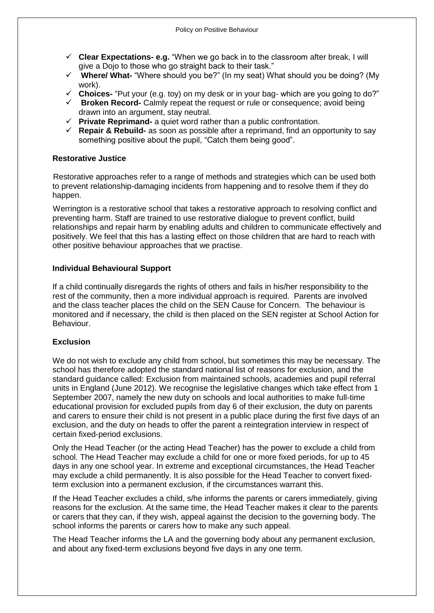- **Clear Expectations- e.g.** "When we go back in to the classroom after break, I will give a Dojo to those who go straight back to their task."
- **Where/ What-** "Where should you be?" (In my seat) What should you be doing? (My work).
- **Choices-** "Put your (e.g. toy) on my desk or in your bag- which are you going to do?"
- **Broken Record-** Calmly repeat the request or rule or consequence; avoid being drawn into an argument, stay neutral.
- **Private Reprimand-** a quiet word rather than a public confrontation.
- **Repair & Rebuild-** as soon as possible after a reprimand, find an opportunity to say something positive about the pupil, "Catch them being good".

#### **Restorative Justice**

Restorative approaches refer to a range of methods and strategies which can be used both to prevent relationship-damaging incidents from happening and to resolve them if they do happen.

 Werrington is a restorative school that takes a restorative approach to resolving conflict and preventing harm. Staff are trained to use restorative dialogue to prevent conflict, build relationships and repair harm by enabling adults and children to communicate effectively and positively. We feel that this has a lasting effect on those children that are hard to reach with other positive behaviour approaches that we practise.

#### **Individual Behavioural Support**

If a child continually disregards the rights of others and fails in his/her responsibility to the rest of the community, then a more individual approach is required. Parents are involved and the class teacher places the child on the SEN Cause for Concern. The behaviour is monitored and if necessary, the child is then placed on the SEN register at School Action for Behaviour.

#### **Exclusion**

We do not wish to exclude any child from school, but sometimes this may be necessary. The school has therefore adopted the standard national list of reasons for exclusion, and the standard guidance called: Exclusion from maintained schools, academies and pupil referral units in England (June 2012). We recognise the legislative changes which take effect from 1 September 2007, namely the new duty on schools and local authorities to make full-time educational provision for excluded pupils from day 6 of their exclusion, the duty on parents and carers to ensure their child is not present in a public place during the first five days of an exclusion, and the duty on heads to offer the parent a reintegration interview in respect of certain fixed-period exclusions.

Only the Head Teacher (or the acting Head Teacher) has the power to exclude a child from school. The Head Teacher may exclude a child for one or more fixed periods, for up to 45 days in any one school year. In extreme and exceptional circumstances, the Head Teacher may exclude a child permanently. It is also possible for the Head Teacher to convert fixedterm exclusion into a permanent exclusion, if the circumstances warrant this.

If the Head Teacher excludes a child, s/he informs the parents or carers immediately, giving reasons for the exclusion. At the same time, the Head Teacher makes it clear to the parents or carers that they can, if they wish, appeal against the decision to the governing body. The school informs the parents or carers how to make any such appeal.

The Head Teacher informs the LA and the governing body about any permanent exclusion, and about any fixed-term exclusions beyond five days in any one term.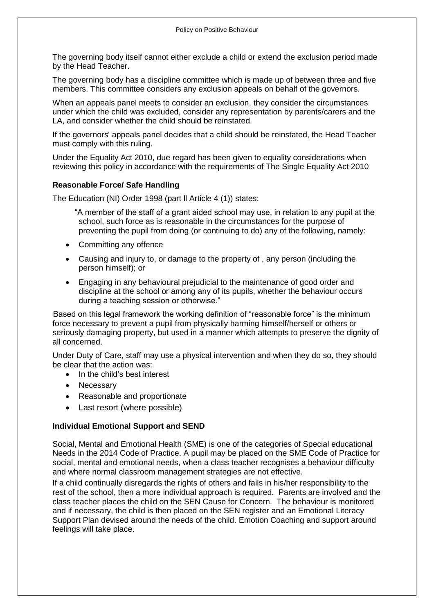The governing body itself cannot either exclude a child or extend the exclusion period made by the Head Teacher.

The governing body has a discipline committee which is made up of between three and five members. This committee considers any exclusion appeals on behalf of the governors.

When an appeals panel meets to consider an exclusion, they consider the circumstances under which the child was excluded, consider any representation by parents/carers and the LA, and consider whether the child should be reinstated.

If the governors' appeals panel decides that a child should be reinstated, the Head Teacher must comply with this ruling.

Under the Equality Act 2010, due regard has been given to equality considerations when reviewing this policy in accordance with the requirements of The Single Equality Act 2010

#### **Reasonable Force/ Safe Handling**

The Education (NI) Order 1998 (part ll Article 4 (1)) states:

 "A member of the staff of a grant aided school may use, in relation to any pupil at the school, such force as is reasonable in the circumstances for the purpose of preventing the pupil from doing (or continuing to do) any of the following, namely:

- Committing any offence
- Causing and injury to, or damage to the property of , any person (including the person himself); or
- Engaging in any behavioural prejudicial to the maintenance of good order and discipline at the school or among any of its pupils, whether the behaviour occurs during a teaching session or otherwise."

 Based on this legal framework the working definition of "reasonable force" is the minimum force necessary to prevent a pupil from physically harming himself/herself or others or seriously damaging property, but used in a manner which attempts to preserve the dignity of all concerned.

Under Duty of Care, staff may use a physical intervention and when they do so, they should be clear that the action was:

- In the child's best interest
- Necessary
- Reasonable and proportionate
- Last resort (where possible)

#### **Individual Emotional Support and SEND**

Social, Mental and Emotional Health (SME) is one of the categories of Special educational Needs in the 2014 Code of Practice. A pupil may be placed on the SME Code of Practice for social, mental and emotional needs, when a class teacher recognises a behaviour difficulty and where normal classroom management strategies are not effective.

If a child continually disregards the rights of others and fails in his/her responsibility to the rest of the school, then a more individual approach is required. Parents are involved and the class teacher places the child on the SEN Cause for Concern. The behaviour is monitored and if necessary, the child is then placed on the SEN register and an Emotional Literacy Support Plan devised around the needs of the child. Emotion Coaching and support around feelings will take place.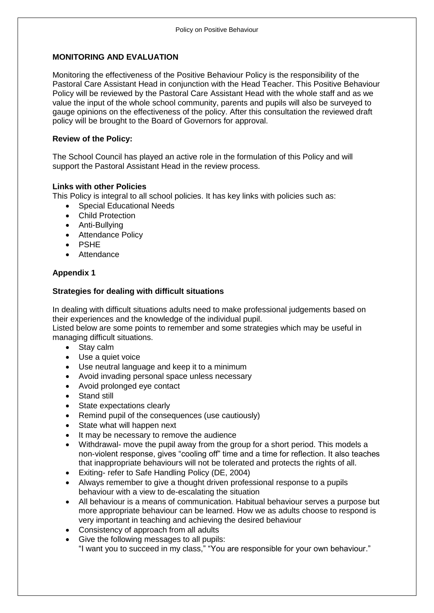### **MONITORING AND EVALUATION**

Monitoring the effectiveness of the Positive Behaviour Policy is the responsibility of the Pastoral Care Assistant Head in conjunction with the Head Teacher. This Positive Behaviour Policy will be reviewed by the Pastoral Care Assistant Head with the whole staff and as we value the input of the whole school community, parents and pupils will also be surveyed to gauge opinions on the effectiveness of the policy. After this consultation the reviewed draft policy will be brought to the Board of Governors for approval.

### **Review of the Policy:**

The School Council has played an active role in the formulation of this Policy and will support the Pastoral Assistant Head in the review process.

#### **Links with other Policies**

This Policy is integral to all school policies. It has key links with policies such as:

- Special Educational Needs
- Child Protection
- Anti-Bullying
- Attendance Policy
- PSHE
- Attendance

#### **Appendix 1**

#### **Strategies for dealing with difficult situations**

In dealing with difficult situations adults need to make professional judgements based on their experiences and the knowledge of the individual pupil.

Listed below are some points to remember and some strategies which may be useful in managing difficult situations.

- Stav calm
- Use a quiet voice
- Use neutral language and keep it to a minimum
- Avoid invading personal space unless necessary
- Avoid prolonged eye contact
- Stand still
- State expectations clearly
- Remind pupil of the consequences (use cautiously)
- State what will happen next
- It may be necessary to remove the audience
- Withdrawal- move the pupil away from the group for a short period. This models a non-violent response, gives "cooling off" time and a time for reflection. It also teaches that inappropriate behaviours will not be tolerated and protects the rights of all.
- Exiting- refer to Safe Handling Policy (DE, 2004)
- Always remember to give a thought driven professional response to a pupils behaviour with a view to de-escalating the situation
- All behaviour is a means of communication. Habitual behaviour serves a purpose but more appropriate behaviour can be learned. How we as adults choose to respond is very important in teaching and achieving the desired behaviour
- Consistency of approach from all adults
- Give the following messages to all pupils: "I want you to succeed in my class," "You are responsible for your own behaviour."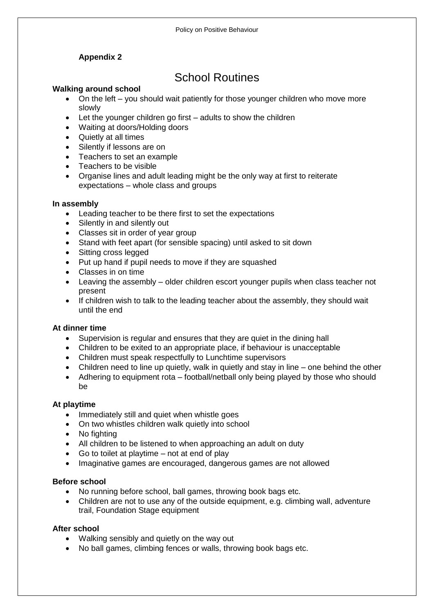## **Appendix 2**

## School Routines

#### **Walking around school**

- On the left you should wait patiently for those younger children who move more slowly
- Let the younger children go first adults to show the children
- Waiting at doors/Holding doors
- Quietly at all times
- Silently if lessons are on
- Teachers to set an example
- Teachers to be visible
- Organise lines and adult leading might be the only way at first to reiterate expectations – whole class and groups

#### **In assembly**

- Leading teacher to be there first to set the expectations
- Silently in and silently out
- Classes sit in order of year group
- Stand with feet apart (for sensible spacing) until asked to sit down
- Sitting cross legged
- Put up hand if pupil needs to move if they are squashed
- Classes in on time
- Leaving the assembly older children escort younger pupils when class teacher not present
- If children wish to talk to the leading teacher about the assembly, they should wait until the end

#### **At dinner time**

- Supervision is regular and ensures that they are quiet in the dining hall
- Children to be exited to an appropriate place, if behaviour is unacceptable
- Children must speak respectfully to Lunchtime supervisors
- Children need to line up quietly, walk in quietly and stay in line one behind the other
- Adhering to equipment rota football/netball only being played by those who should be

#### **At playtime**

- Immediately still and quiet when whistle goes
- On two whistles children walk quietly into school
- No fighting
- All children to be listened to when approaching an adult on duty
- Go to toilet at playtime not at end of play
- Imaginative games are encouraged, dangerous games are not allowed

### **Before school**

- No running before school, ball games, throwing book bags etc.
- Children are not to use any of the outside equipment, e.g. climbing wall, adventure trail, Foundation Stage equipment

#### **After school**

- Walking sensibly and quietly on the way out
- No ball games, climbing fences or walls, throwing book bags etc.